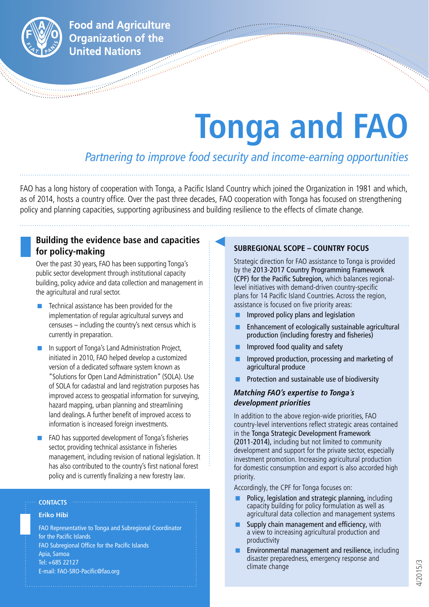

**Food and Agriculture Organization of the United Nations** 

# **Tonga and FAO**

# *Partnering to improve food security and income-earning opportunities*

FAO has a long history of cooperation with Tonga, a Pacific Island Country which joined the Organization in 1981 and which, as of 2014, hosts a country office. Over the past three decades, FAO cooperation with Tonga has focused on strengthening policy and planning capacities, supporting agribusiness and building resilience to the effects of climate change.

# **Building the evidence base and capacities for policy-making**

Over the past 30 years, FAO has been supporting Tonga's public sector development through institutional capacity building, policy advice and data collection and management in the agricultural and rural sector.

- Technical assistance has been provided for the implementation of regular agricultural surveys and censuses – including the country's next census which is currently in preparation.
- In support of Tonga's Land Administration Project, initiated in 2010, FAO helped develop a customized version of a dedicated software system known as "Solutions for Open Land Administration" (SOLA). Use of SOLA for cadastral and land registration purposes has improved access to geospatial information for surveying, hazard mapping, urban planning and streamlining land dealings. A further benefit of improved access to information is increased foreign investments.
- FAO has supported development of Tonga's fisheries sector, providing technical assistance in fisheries management, including revision of national legislation. It has also contributed to the country's first national forest policy and is currently finalizing a new forestry law.

## **CONTACTS**

## **Eriko Hibi**

FAO Representative to Tonga and Subregional Coordinator for the Pacific Islands FAO Subregional Office for the Pacific Islands Apia, Samoa Tel: +685 22127 E-mail: FAO-SRO-Pacific@fao.org

# **SUBREGIONAL SCOPE – COUNTRY FOCUS**

Strategic direction for FAO assistance to Tonga is provided by the 2013-2017 Country Programming Framework (CPF) for the Pacific Subregion, which balances regionallevel initiatives with demand-driven country-specific plans for 14 Pacific Island Countries. Across the region, assistance is focused on five priority areas:

- Improved policy plans and legislation
- **Enhancement of ecologically sustainable agricultural** production (including forestry and fisheries)
- $\blacksquare$  Improved food quality and safety
- Improved production, processing and marketing of agricultural produce
- Protection and sustainable use of biodiversity

# *Matching FAO's expertise to Tonga´s development priorities*

In addition to the above region-wide priorities, FAO country-level interventions reflect strategic areas contained in the Tonga Strategic Development Framework (2011-2014), including but not limited to community development and support for the private sector, especially investment promotion. Increasing agricultural production for domestic consumption and export is also accorded high priority.

Accordingly, the CPF for Tonga focuses on:

- Policy, legislation and strategic planning, including capacity building for policy formulation as well as agricultural data collection and management systems
- Supply chain management and efficiency, with a view to increasing agricultural production and productivity
- Environmental management and resilience, including disaster preparedness, emergency response and climate change